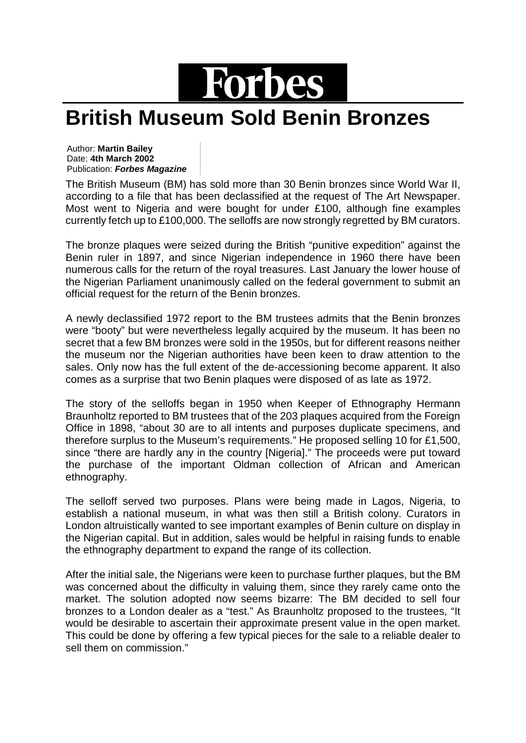## **Forbes**

## **British Museum Sold Benin Bronzes**

Author: **Martin Bailey** Date: **4th March 2002** Publication: *Forbes Magazine*

The British Museum (BM) has sold more than 30 Benin bronzes since World War II, according to a file that has been declassified at the request of The Art Newspaper. Most went to Nigeria and were bought for under £100, although fine examples currently fetch up to £100,000. The selloffs are now strongly regretted by BM curators.

The bronze plaques were seized during the British "punitive expedition" against the Benin ruler in 1897, and since Nigerian independence in 1960 there have been numerous calls for the return of the royal treasures. Last January the lower house of the Nigerian Parliament unanimously called on the federal government to submit an official request for the return of the Benin bronzes.

A newly declassified 1972 report to the BM trustees admits that the Benin bronzes were "booty" but were nevertheless legally acquired by the museum. It has been no secret that a few BM bronzes were sold in the 1950s, but for different reasons neither the museum nor the Nigerian authorities have been keen to draw attention to the sales. Only now has the full extent of the de-accessioning become apparent. It also comes as a surprise that two Benin plaques were disposed of as late as 1972.

The story of the selloffs began in 1950 when Keeper of Ethnography Hermann Braunholtz reported to BM trustees that of the 203 plaques acquired from the Foreign Office in 1898, "about 30 are to all intents and purposes duplicate specimens, and therefore surplus to the Museum's requirements." He proposed selling 10 for £1,500, since "there are hardly any in the country [Nigeria]." The proceeds were put toward the purchase of the important Oldman collection of African and American ethnography.

The selloff served two purposes. Plans were being made in Lagos, Nigeria, to establish a national museum, in what was then still a British colony. Curators in London altruistically wanted to see important examples of Benin culture on display in the Nigerian capital. But in addition, sales would be helpful in raising funds to enable the ethnography department to expand the range of its collection.

After the initial sale, the Nigerians were keen to purchase further plaques, but the BM was concerned about the difficulty in valuing them, since they rarely came onto the market. The solution adopted now seems bizarre: The BM decided to sell four bronzes to a London dealer as a "test." As Braunholtz proposed to the trustees, "It would be desirable to ascertain their approximate present value in the open market. This could be done by offering a few typical pieces for the sale to a reliable dealer to sell them on commission."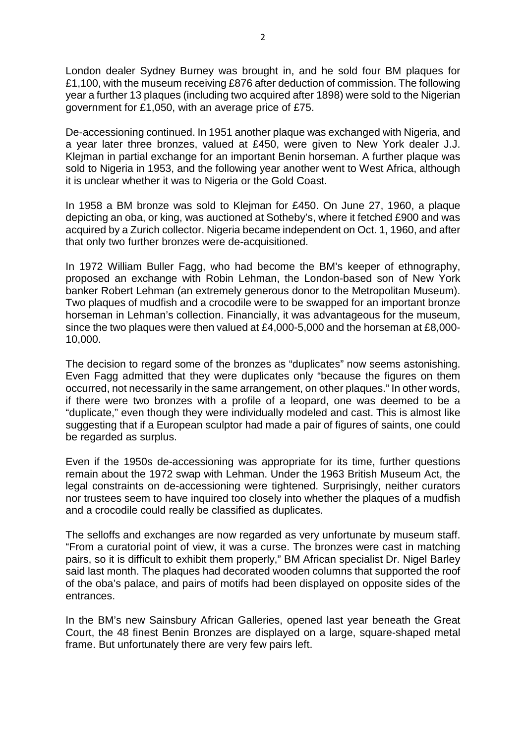London dealer Sydney Burney was brought in, and he sold four BM plaques for £1,100, with the museum receiving £876 after deduction of commission. The following year a further 13 plaques (including two acquired after 1898) were sold to the Nigerian government for £1,050, with an average price of £75.

De-accessioning continued. In 1951 another plaque was exchanged with Nigeria, and a year later three bronzes, valued at £450, were given to New York dealer J.J. Klejman in partial exchange for an important Benin horseman. A further plaque was sold to Nigeria in 1953, and the following year another went to West Africa, although it is unclear whether it was to Nigeria or the Gold Coast.

In 1958 a BM bronze was sold to Klejman for £450. On June 27, 1960, a plaque depicting an oba, or king, was auctioned at Sotheby's, where it fetched £900 and was acquired by a Zurich collector. Nigeria became independent on Oct. 1, 1960, and after that only two further bronzes were de-acquisitioned.

In 1972 William Buller Fagg, who had become the BM's keeper of ethnography, proposed an exchange with Robin Lehman, the London-based son of New York banker Robert Lehman (an extremely generous donor to the Metropolitan Museum). Two plaques of mudfish and a crocodile were to be swapped for an important bronze horseman in Lehman's collection. Financially, it was advantageous for the museum, since the two plaques were then valued at £4,000-5,000 and the horseman at £8,000- 10,000.

The decision to regard some of the bronzes as "duplicates" now seems astonishing. Even Fagg admitted that they were duplicates only "because the figures on them occurred, not necessarily in the same arrangement, on other plaques." In other words, if there were two bronzes with a profile of a leopard, one was deemed to be a "duplicate," even though they were individually modeled and cast. This is almost like suggesting that if a European sculptor had made a pair of figures of saints, one could be regarded as surplus.

Even if the 1950s de-accessioning was appropriate for its time, further questions remain about the 1972 swap with Lehman. Under the 1963 British Museum Act, the legal constraints on de-accessioning were tightened. Surprisingly, neither curators nor trustees seem to have inquired too closely into whether the plaques of a mudfish and a crocodile could really be classified as duplicates.

The selloffs and exchanges are now regarded as very unfortunate by museum staff. "From a curatorial point of view, it was a curse. The bronzes were cast in matching pairs, so it is difficult to exhibit them properly," BM African specialist Dr. Nigel Barley said last month. The plaques had decorated wooden columns that supported the roof of the oba's palace, and pairs of motifs had been displayed on opposite sides of the entrances.

In the BM's new Sainsbury African Galleries, opened last year beneath the Great Court, the 48 finest Benin Bronzes are displayed on a large, square-shaped metal frame. But unfortunately there are very few pairs left.